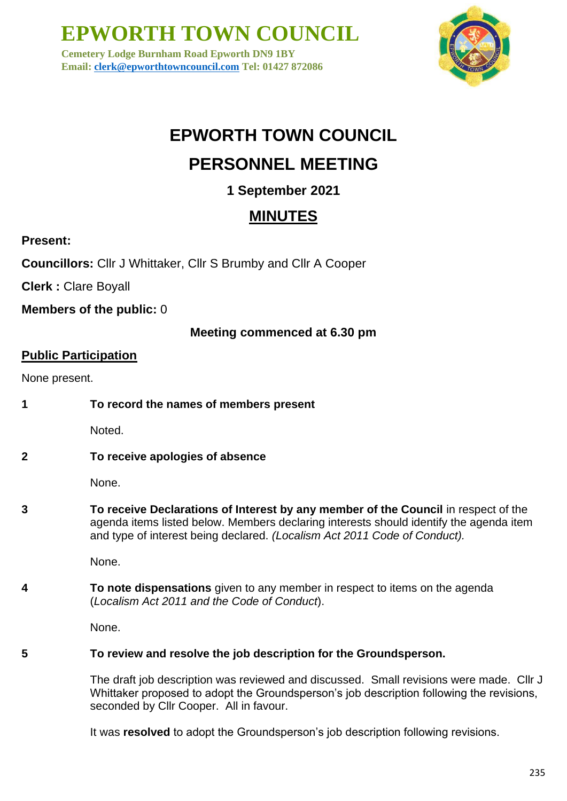**EPWORTH TOWN COUNCIL**

**Cemetery Lodge Burnham Road Epworth DN9 1BY Email: [clerk@epworthtowncouncil.com](mailto:clerk@epworthtowncouncil.com) Tel: 01427 872086**



# **EPWORTH TOWN COUNCIL PERSONNEL MEETING**

## **1 September 2021**

## **MINUTES**

**Present:** 

**Councillors:** Cllr J Whittaker, Cllr S Brumby and Cllr A Cooper

**Clerk :** Clare Boyall

**Members of the public:** 0

### **Meeting commenced at 6.30 pm**

### **Public Participation**

None present.

**1 To record the names of members present**

Noted.

**2 To receive apologies of absence**

None.

**3 To receive Declarations of Interest by any member of the Council** in respect of the agenda items listed below. Members declaring interests should identify the agenda item and type of interest being declared. *(Localism Act 2011 Code of Conduct).*

None.

**4 To note dispensations** given to any member in respect to items on the agenda (*Localism Act 2011 and the Code of Conduct*).

None.

#### **5 To review and resolve the job description for the Groundsperson.**

The draft job description was reviewed and discussed. Small revisions were made. Cllr J Whittaker proposed to adopt the Groundsperson's job description following the revisions, seconded by Cllr Cooper. All in favour.

It was **resolved** to adopt the Groundsperson's job description following revisions.